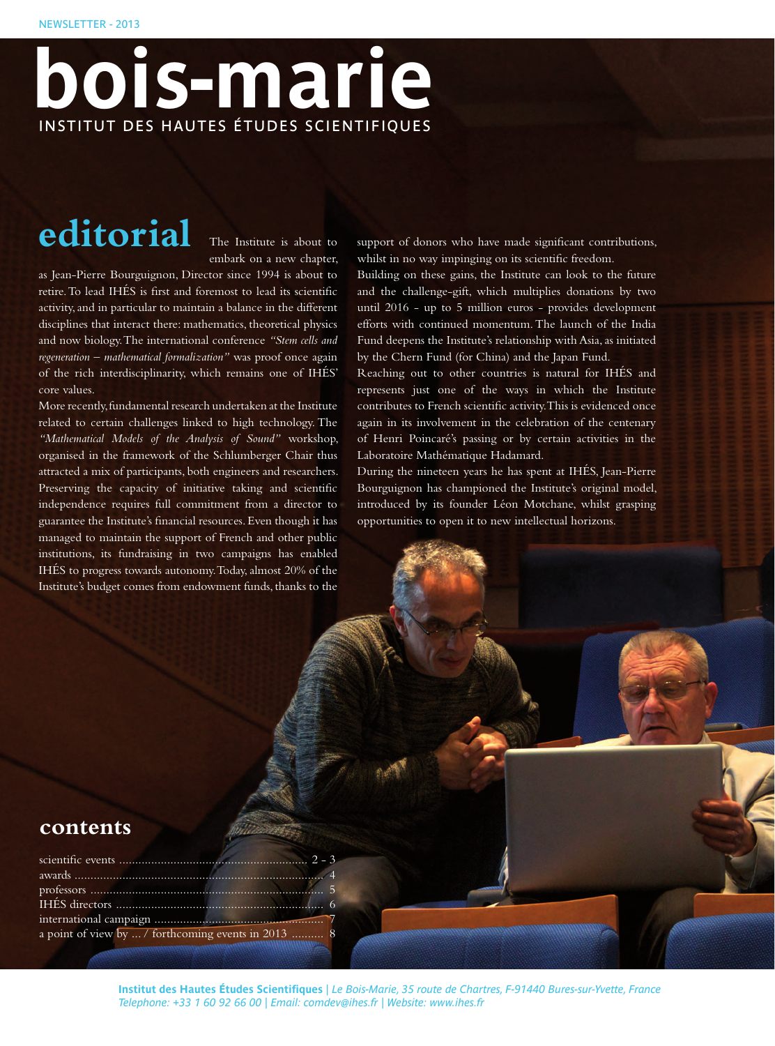# **bois-marie** INSTITUT DES HAUTES ÉTUDES SCIENTIFIQUES

# editorial The Institute is about to

embark on a new chapter,

as Jean-Pierre Bourguignon, Director since 1994 is about to retire. To lead IHÉS is first and foremost to lead its scientific activity, and in particular to maintain a balance in the different disciplines that interact there: mathematics, theoretical physics and now biology. The international conference *"Stem cells and regeneration – mathematical formalization"* was proof once again of the rich interdisciplinarity, which remains one of IHÉS' core values.

More recently, fundamental research undertaken at the Institute related to certain challenges linked to high technology. The *"Mathematical Models of the Analysis of Sound"* workshop, organised in the framework of the Schlumberger Chair thus attracted a mix of participants, both engineers and researchers. Preserving the capacity of initiative taking and scientific independence requires full commitment from a director to guarantee the Institute's financial resources. Even though it has managed to maintain the support of French and other public institutions, its fundraising in two campaigns has enabled IHÉS to progress towards autonomy. Today, almost 20% of the Institute's budget comes from endowment funds, thanks to the

support of donors who have made significant contributions, whilst in no way impinging on its scientific freedom.

Building on these gains, the Institute can look to the future and the challenge-gift, which multiplies donations by two until 2016 - up to 5 million euros - provides development efforts with continued momentum. The launch of the India Fund deepens the Institute's relationship with Asia, as initiated by the Chern Fund (for China) and the Japan Fund.

Reaching out to other countries is natural for IHÉS and represents just one of the ways in which the Institute contributes to French scientific activity. This is evidenced once again in its involvement in the celebration of the centenary of Henri Poincaré's passing or by certain activities in the Laboratoire Mathématique Hadamard.

During the nineteen years he has spent at IHÉS, Jean-Pierre Bourguignon has championed the Institute's original model, introduced by its founder Léon Motchane, whilst grasping opportunities to open it to new intellectual horizons.

## **contents**

| a point of view by  / forthcoming events in 2013  8 |  |
|-----------------------------------------------------|--|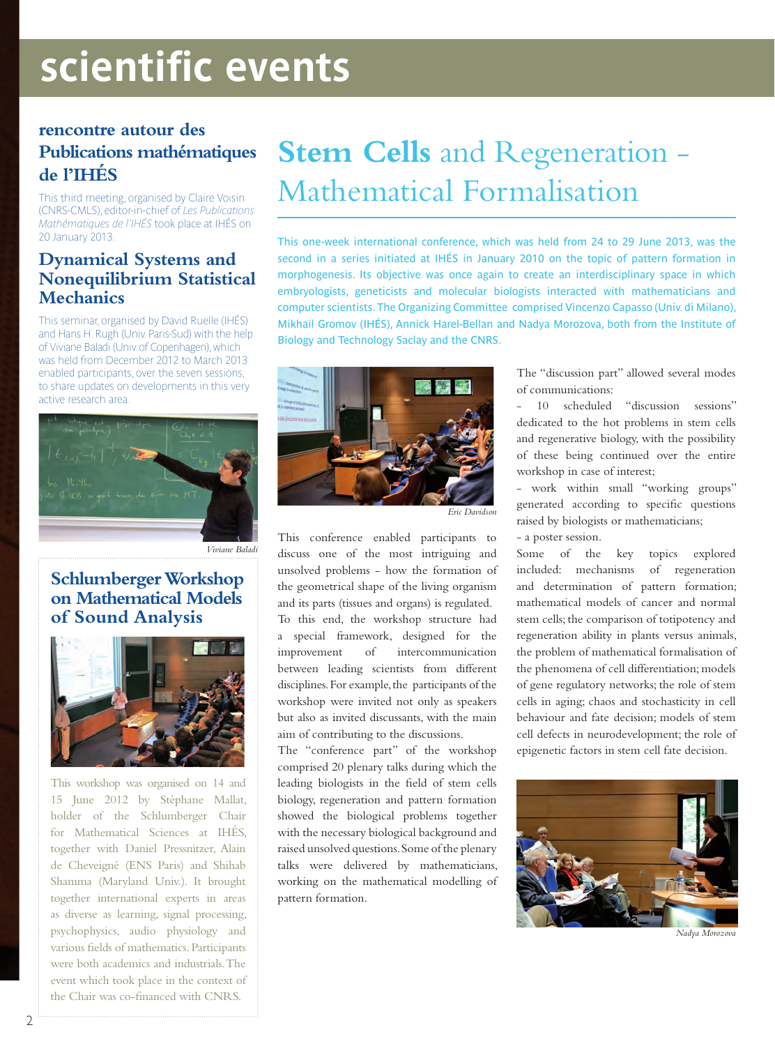# **scientific events**

## **rencontre autour des Publications mathématiques de l'IHÉS**

This third meeting, organised by Claire Voisin (CNRS-CMLS), editor-in-chief of *Les Publications Mathématiques de l'IHÉS* took place at IHÉS on

## **Dynamical Systems and Nonequilibrium Statistical Mechanics**

This seminar, organised by David Ruelle (IHÉS) and Hans H. Rugh (Univ. Paris-Sud) with the help of Viviane Baladi (Univ. of Copenhagen), which was held from December 2012 to March 2013 enabled participants, over the seven sessions, to share updates on developments in this very active research area.



*Viviane Baladi*

### **Schlumberger Workshop on Mathematical Models of Sound Analysis**



This workshop was organised on 14 and 15 June 2012 by Stéphane Mallat, holder of the Schlumberger Chair for Mathematical Sciences at IHÉS, together with Daniel Pressnitzer, Alain de Cheveigné (ENS Paris) and Shihab Shamma (Maryland Univ.). It brought together international experts in areas as diverse as learning, signal processing, psychophysics, audio physiology and various fields of mathematics. Participants were both academics and industrials. The event which took place in the context of the Chair was co-financed with CNRS.

## **Stem Cells** and Regeneration - Mathematical Formalisation

This one-week international conference, which was held from 24 to 29 June 2013, was the second in a series initiated at IHÉS in January 2010 on the topic of pattern formation in morphogenesis. Its objective was once again to create an interdisciplinary space in which embryologists, geneticists and molecular biologists interacted with mathematicians and computer scientists. The Organizing Committee comprised Vincenzo Capasso (Univ. di Milano), Mikhail Gromov (IHÉS), Annick Harel-Bellan and Nadya Morozova, both from the Institute of Biology and Technology Saclay and the CNRS.



*Eric Davidson*

This conference enabled participants to discuss one of the most intriguing and unsolved problems - how the formation of the geometrical shape of the living organism and its parts (tissues and organs) is regulated.

To this end, the workshop structure had a special framework, designed for the improvement of intercommunication between leading scientists from different disciplines. For example, the participants of the workshop were invited not only as speakers but also as invited discussants, with the main aim of contributing to the discussions.

The "conference part" of the workshop comprised 20 plenary talks during which the leading biologists in the field of stem cells biology, regeneration and pattern formation showed the biological problems together with the necessary biological background and raised unsolved questions. Some of the plenary talks were delivered by mathematicians, working on the mathematical modelling of pattern formation.

The "discussion part" allowed several modes of communications:

- 10 scheduled "discussion sessions" dedicated to the hot problems in stem cells and regenerative biology, with the possibility of these being continued over the entire workshop in case of interest;

- work within small "working groups" generated according to specific questions raised by biologists or mathematicians;

- a poster session.

Some of the key topics explored included: mechanisms of regeneration and determination of pattern formation; mathematical models of cancer and normal stem cells; the comparison of totipotency and regeneration ability in plants versus animals, the problem of mathematical formalisation of the phenomena of cell differentiation; models of gene regulatory networks; the role of stem cells in aging; chaos and stochasticity in cell behaviour and fate decision; models of stem cell defects in neurodevelopment; the role of epigenetic factors in stem cell fate decision.



*Nadya Morozova*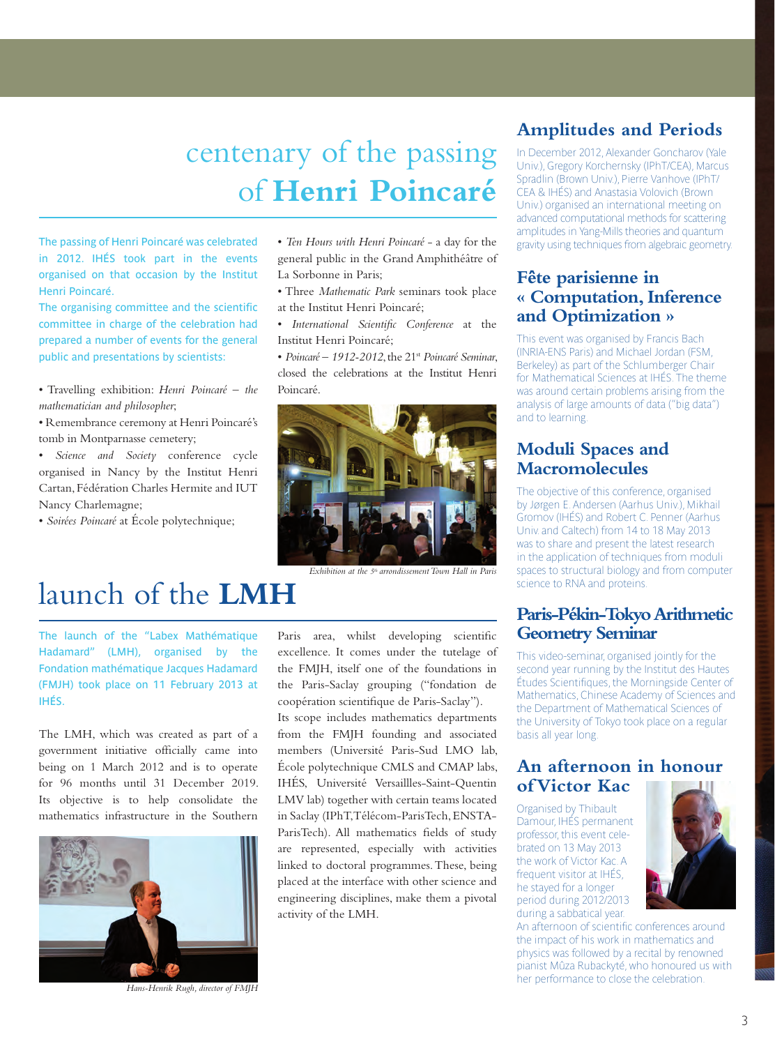## centenary of the passing of **Henri Poincaré**

The passing of Henri Poincaré was celebrated in 2012. IHÉS took part in the events organised on that occasion by the Institut Henri Poincaré.

The organising committee and the scientific committee in charge of the celebration had prepared a number of events for the general public and presentations by scientists:

• Travelling exhibition: *Henri Poincaré – the mathematician and philosopher*;

• Remembrance ceremony at Henri Poincaré's tomb in Montparnasse cemetery;

• *Science and Society* conference cycle organised in Nancy by the Institut Henri Cartan, Fédération Charles Hermite and IUT Nancy Charlemagne;

• *Soirées Poincaré* at École polytechnique;

• *Ten Hours with Henri Poincaré* - a day for the general public in the Grand Amphithéâtre of La Sorbonne in Paris;

• Three *Mathematic Park* seminars took place at the Institut Henri Poincaré;

• *International Scientific Conference* at the Institut Henri Poincaré;

• *Poincaré – 1912-2012*, the 21<sup>st</sup> *Poincaré Seminar*, closed the celebrations at the Institut Henri Poincaré.



*Exhibition at the 5th arrondissement Town Hall in Paris*

## launch of the **LMH**

The launch of the "Labex Mathématique Hadamard" (LMH), organised by the Fondation mathématique Jacques Hadamard (FMJH) took place on 11 February 2013 at IHÉS.

The LMH, which was created as part of a government initiative officially came into being on 1 March 2012 and is to operate for 96 months until 31 December 2019. Its objective is to help consolidate the mathematics infrastructure in the Southern



*Hans-Henrik Rugh, director of FMJH*

Paris area, whilst developing scientific excellence. It comes under the tutelage of the FMJH, itself one of the foundations in the Paris-Saclay grouping ("fondation de coopération scientifique de Paris-Saclay").

Its scope includes mathematics departments from the FMJH founding and associated members (Université Paris-Sud LMO lab, École polytechnique CMLS and CMAP labs, IHÉS, Université Versaillles-Saint-Quentin LMV lab) together with certain teams located in Saclay (IPhT, Télécom-ParisTech, ENSTA-ParisTech). All mathematics fields of study are represented, especially with activities linked to doctoral programmes. These, being placed at the interface with other science and engineering disciplines, make them a pivotal activity of the LMH.

## **Amplitudes and Periods**

In December 2012, Alexander Goncharov (Yale Univ.), Gregory Korchernsky (IPhT/CEA), Marcus Spradlin (Brown Univ.), Pierre Vanhove (IPhT/ CEA & IHÉS) and Anastasia Volovich (Brown Univ.) organised an international meeting on advanced computational methods for scattering amplitudes in Yang-Mills theories and quantum gravity using techniques from algebraic geometry.

### **Fête parisienne in « Computation, Inference and Optimization »**

This event was organised by Francis Bach (INRIA-ENS Paris) and Michael Jordan (FSM, Berkeley) as part of the Schlumberger Chair for Mathematical Sciences at IHÉS. The theme was around certain problems arising from the analysis of large amounts of data ("big data") and to learning.

### **Moduli Spaces and Macromolecules**

The objective of this conference, organised by Jørgen E. Andersen (Aarhus Univ.), Mikhail Gromov (IHÉS) and Robert C. Penner (Aarhus Univ. and Caltech) from 14 to 18 May 2013 was to share and present the latest research in the application of techniques from moduli spaces to structural biology and from computer science to RNA and proteins.

### **Paris-Pékin-Tokyo Arithmetic Geometry Seminar**

This video-seminar, organised jointly for the second year running by the Institut des Hautes Études Scientifiques, the Morningside Center of Mathematics, Chinese Academy of Sciences and the Department of Mathematical Sciences of the University of Tokyo took place on a regular basis all year long.

### **An afternoon in honour of Victor Kac**

Organised by Thibault Damour, IHÉS permanent professor, this event celebrated on 13 May 2013 the work of Victor Kac. A frequent visitor at IHÉS, he stayed for a longer period during 2012/2013 during a sabbatical year.



An afternoon of scientific conferences around the impact of his work in mathematics and physics was followed by a recital by renowned pianist Mûza Rubackyté, who honoured us with her performance to close the celebration.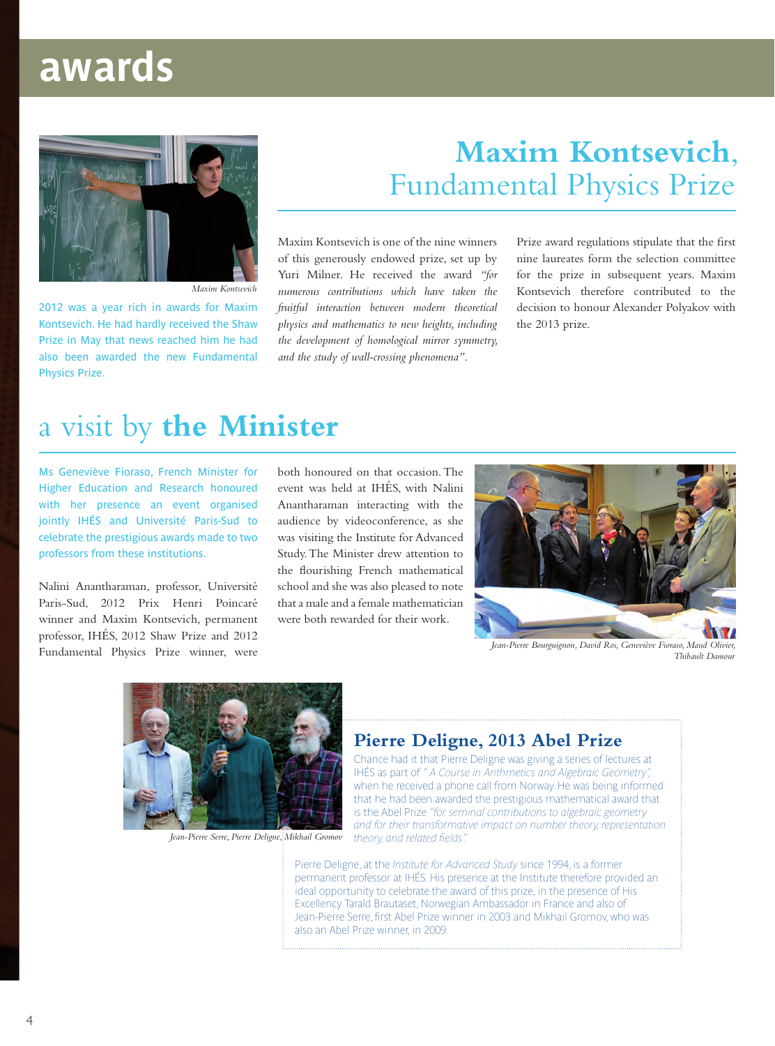## **awards**



*Maxim Kontsevich*

2012 was a year rich in awards for Maxim Kontsevich. He had hardly received the Shaw Prize in May that news reached him he had also been awarded the new Fundamental Physics Prize.

## **Maxim Kontsevich**, Fundamental Physics Prize

Maxim Kontsevich is one of the nine winners of this generously endowed prize, set up by Yuri Milner. He received the award *"for numerous contributions which have taken the fruitful interaction between modern theoretical physics and mathematics to new heights, including the development of homological mirror symmetry, and the study of wall-crossing phenomena"*.

Prize award regulations stipulate that the first nine laureates form the selection committee for the prize in subsequent years. Maxim Kontsevich therefore contributed to the decision to honour Alexander Polyakov with the 2013 prize.

## a visit by **the Minister**

Ms Geneviève Fioraso, French Minister for Higher Education and Research honoured with her presence an event organised jointly IHÉS and Université Paris-Sud to celebrate the prestigious awards made to two professors from these institutions.

Nalini Anantharaman, professor, Université Paris-Sud, 2012 Prix Henri Poincaré winner and Maxim Kontsevich, permanent professor, IHÉS, 2012 Shaw Prize and 2012 Fundamental Physics Prize winner, were

both honoured on that occasion. The event was held at IHÉS, with Nalini Anantharaman interacting with the audience by videoconference, as she was visiting the Institute for Advanced Study. The Minister drew attention to the flourishing French mathematical school and she was also pleased to note that a male and a female mathematician were both rewarded for their work.



*Jean-Pierre Bourguignon, David Ros, Geneviève Fioraso, Maud Olivier, Thibault Damour*



*Jean-Pierre Serre, Pierre Deligne, Mikhail Gromov*

## **Pierre Deligne, 2013 Abel Prize**

Chance had it that Pierre Deligne was giving a series of lectures at IHÉS as part of *" A Course in Arithmetics and Algebraic Geometry",* when he received a phone call from Norway. He was being informed that he had been awarded the prestigious mathematical award that is the Abel Prize *"for seminal contributions to algebraic geometry and for their transformative impact on number theory, representation theory, and related fields".*

Pierre Deligne, at the *Institute for Advanced Study* since 1994, is a former permanent professor at IHÉS. His presence at the Institute therefore provided an ideal opportunity to celebrate the award of this prize, in the presence of His Excellency Tarald Brautaset, Norwegian Ambassador in France and also of Jean-Pierre Serre, first Abel Prize winner in 2003 and Mikhail Gromov, who was also an Abel Prize winner, in 2009.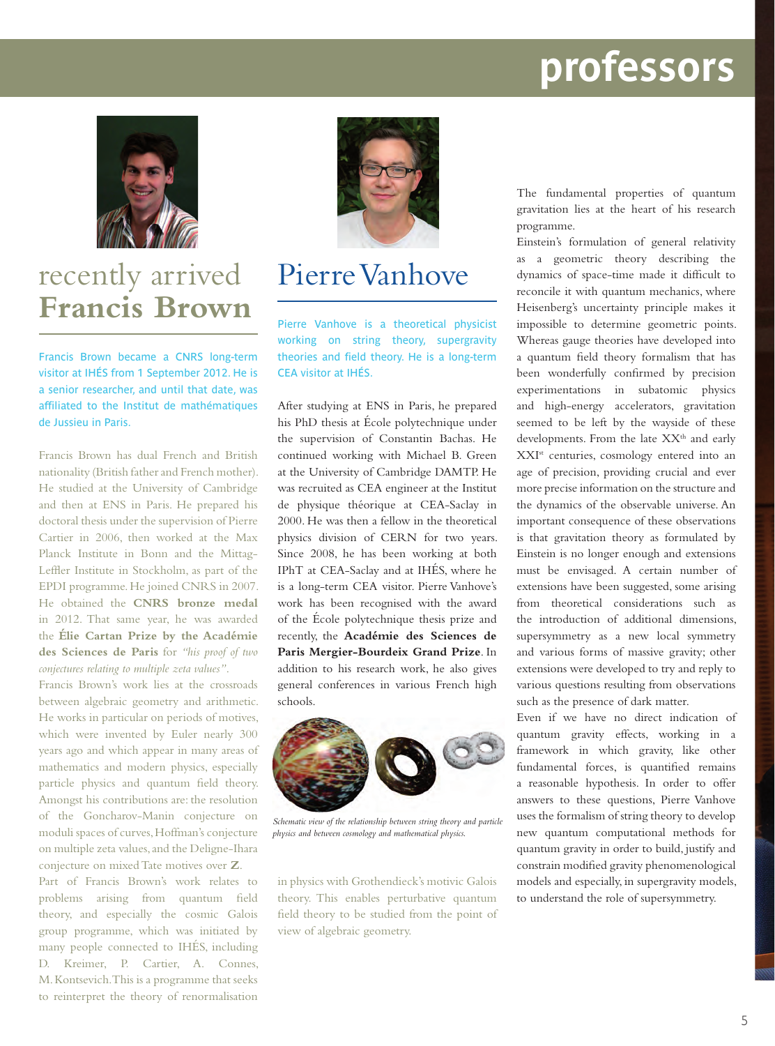# **awards professors**



## recently arrived Pierre Vanhove **Francis Brown**

Francis Brown became a CNRS long-term visitor at IHÉS from 1 September 2012. He is a senior researcher, and until that date, was affiliated to the Institut de mathématiques de Jussieu in Paris.

Francis Brown has dual French and British nationality (British father and French mother). He studied at the University of Cambridge and then at ENS in Paris. He prepared his doctoral thesis under the supervision of Pierre Cartier in 2006, then worked at the Max Planck Institute in Bonn and the Mittag-Leffler Institute in Stockholm, as part of the EPDI programme. He joined CNRS in 2007. He obtained the **CNRS bronze medal** in 2012. That same year, he was awarded the **Élie Cartan Prize by the Académie des Sciences de Paris** for *"his proof of two conjectures relating to multiple zeta values"*.

Francis Brown's work lies at the crossroads between algebraic geometry and arithmetic. He works in particular on periods of motives, which were invented by Euler nearly 300 years ago and which appear in many areas of mathematics and modern physics, especially particle physics and quantum field theory. Amongst his contributions are: the resolution of the Goncharov-Manin conjecture on moduli spaces of curves, Hoffman's conjecture on multiple zeta values, and the Deligne-Ihara conjecture on mixed Tate motives over **Z**.

Part of Francis Brown's work relates to problems arising from quantum field theory, and especially the cosmic Galois group programme, which was initiated by many people connected to IHÉS, including D. Kreimer, P. Cartier, A. Connes, M. Kontsevich. This is a programme that seeks to reinterpret the theory of renormalisation



Pierre Vanhove is a theoretical physicist working on string theory, supergravity theories and field theory. He is a long-term CEA visitor at IHÉS.

After studying at ENS in Paris, he prepared his PhD thesis at École polytechnique under the supervision of Constantin Bachas. He continued working with Michael B. Green at the University of Cambridge DAMTP. He was recruited as CEA engineer at the Institut de physique théorique at CEA-Saclay in 2000. He was then a fellow in the theoretical physics division of CERN for two years. Since 2008, he has been working at both IPhT at CEA-Saclay and at IHÉS, where he is a long-term CEA visitor. Pierre Vanhove's work has been recognised with the award of the École polytechnique thesis prize and recently, the **Académie des Sciences de Paris Mergier-Bourdeix Grand Prize**. In addition to his research work, he also gives general conferences in various French high schools.



*Schematic view of the relationship between string theory and particle physics and between cosmology and mathematical physics.*

in physics with Grothendieck's motivic Galois theory. This enables perturbative quantum field theory to be studied from the point of view of algebraic geometry.

The fundamental properties of quantum gravitation lies at the heart of his research programme.

Einstein's formulation of general relativity as a geometric theory describing the dynamics of space-time made it difficult to reconcile it with quantum mechanics, where Heisenberg's uncertainty principle makes it impossible to determine geometric points. Whereas gauge theories have developed into a quantum field theory formalism that has been wonderfully confirmed by precision experimentations in subatomic physics and high-energy accelerators, gravitation seemed to be left by the wayside of these developments. From the late XX<sup>th</sup> and early XXIst centuries, cosmology entered into an age of precision, providing crucial and ever more precise information on the structure and the dynamics of the observable universe. An important consequence of these observations is that gravitation theory as formulated by Einstein is no longer enough and extensions must be envisaged. A certain number of extensions have been suggested, some arising from theoretical considerations such as the introduction of additional dimensions, supersymmetry as a new local symmetry and various forms of massive gravity; other extensions were developed to try and reply to various questions resulting from observations such as the presence of dark matter.

Even if we have no direct indication of quantum gravity effects, working in a framework in which gravity, like other fundamental forces, is quantified remains a reasonable hypothesis. In order to offer answers to these questions, Pierre Vanhove uses the formalism of string theory to develop new quantum computational methods for quantum gravity in order to build, justify and constrain modified gravity phenomenological models and especially, in supergravity models, to understand the role of supersymmetry.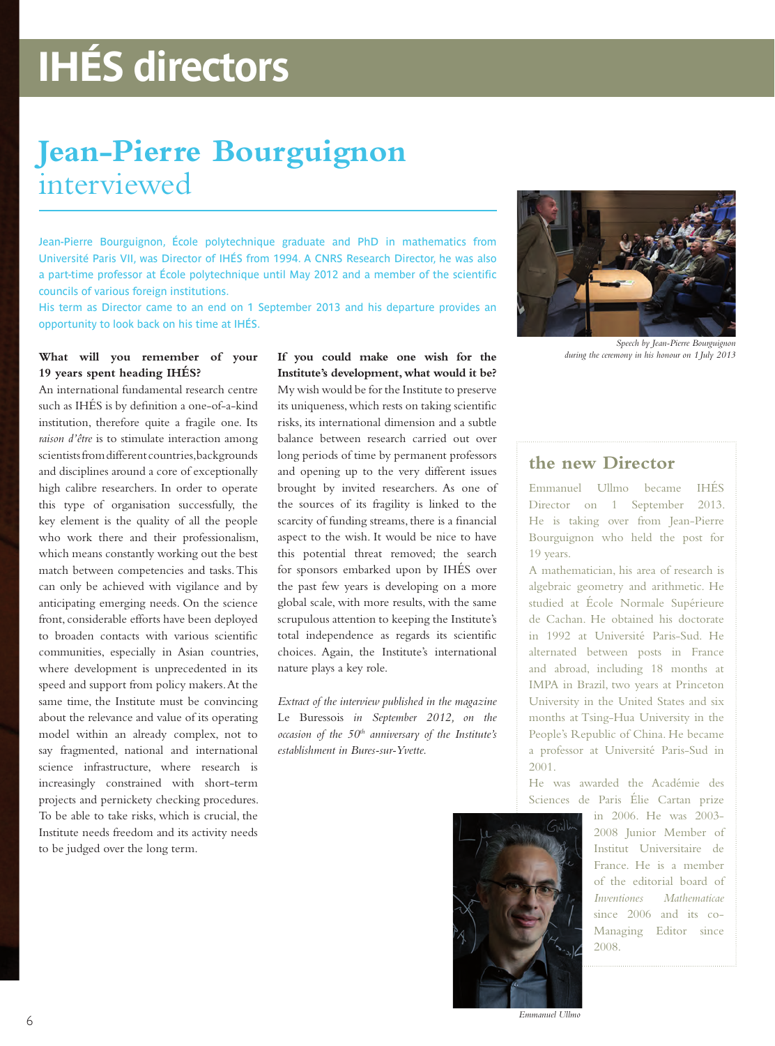# **IHÉS directors**

## **Jean-Pierre Bourguignon**  interviewed

Jean-Pierre Bourguignon, École polytechnique graduate and PhD in mathematics from Université Paris VII, was Director of IHÉS from 1994. A CNRS Research Director, he was also a part-time professor at École polytechnique until May 2012 and a member of the scientific councils of various foreign institutions.

His term as Director came to an end on 1 September 2013 and his departure provides an opportunity to look back on his time at IHÉS.

### **What will you remember of your 19 years spent heading IHÉS?**

An international fundamental research centre such as IHÉS is by definition a one-of-a-kind institution, therefore quite a fragile one. Its *raison d'être* is to stimulate interaction among scientists from different countries, backgrounds and disciplines around a core of exceptionally high calibre researchers. In order to operate this type of organisation successfully, the key element is the quality of all the people who work there and their professionalism, which means constantly working out the best match between competencies and tasks. This can only be achieved with vigilance and by anticipating emerging needs. On the science front, considerable efforts have been deployed to broaden contacts with various scientific communities, especially in Asian countries, where development is unprecedented in its speed and support from policy makers. At the same time, the Institute must be convincing about the relevance and value of its operating model within an already complex, not to say fragmented, national and international science infrastructure, where research is increasingly constrained with short-term projects and pernickety checking procedures. To be able to take risks, which is crucial, the Institute needs freedom and its activity needs to be judged over the long term.

**If you could make one wish for the Institute's development, what would it be?** My wish would be for the Institute to preserve its uniqueness, which rests on taking scientific risks, its international dimension and a subtle balance between research carried out over long periods of time by permanent professors and opening up to the very different issues brought by invited researchers. As one of the sources of its fragility is linked to the scarcity of funding streams, there is a financial aspect to the wish. It would be nice to have this potential threat removed; the search for sponsors embarked upon by IHÉS over the past few years is developing on a more global scale, with more results, with the same scrupulous attention to keeping the Institute's total independence as regards its scientific choices. Again, the Institute's international nature plays a key role.

*Extract of the interview published in the magazine*  Le Buressois *in September 2012, on the occasion of the 50th anniversary of the Institute's establishment in Bures-sur-Yvette.*



*Speech by Jean-Pierre Bourguignon during the ceremony in his honour on 1 July 2013*

### **the new Director**

Emmanuel Ullmo became IHÉS Director on 1 September 2013. He is taking over from Jean-Pierre Bourguignon who held the post for 19 years.

A mathematician, his area of research is algebraic geometry and arithmetic. He studied at École Normale Supérieure de Cachan. He obtained his doctorate in 1992 at Université Paris-Sud. He alternated between posts in France and abroad, including 18 months at IMPA in Brazil, two years at Princeton University in the United States and six months at Tsing-Hua University in the People's Republic of China. He became a professor at Université Paris-Sud in 2001.

He was awarded the Académie des Sciences de Paris Élie Cartan prize



in 2006. He was 2003- 2008 Junior Member of Institut Universitaire de France. He is a member of the editorial board of *Inventiones Mathematicae* since 2006 and its co-Managing Editor since 2008.

*Emmanuel Ullmo*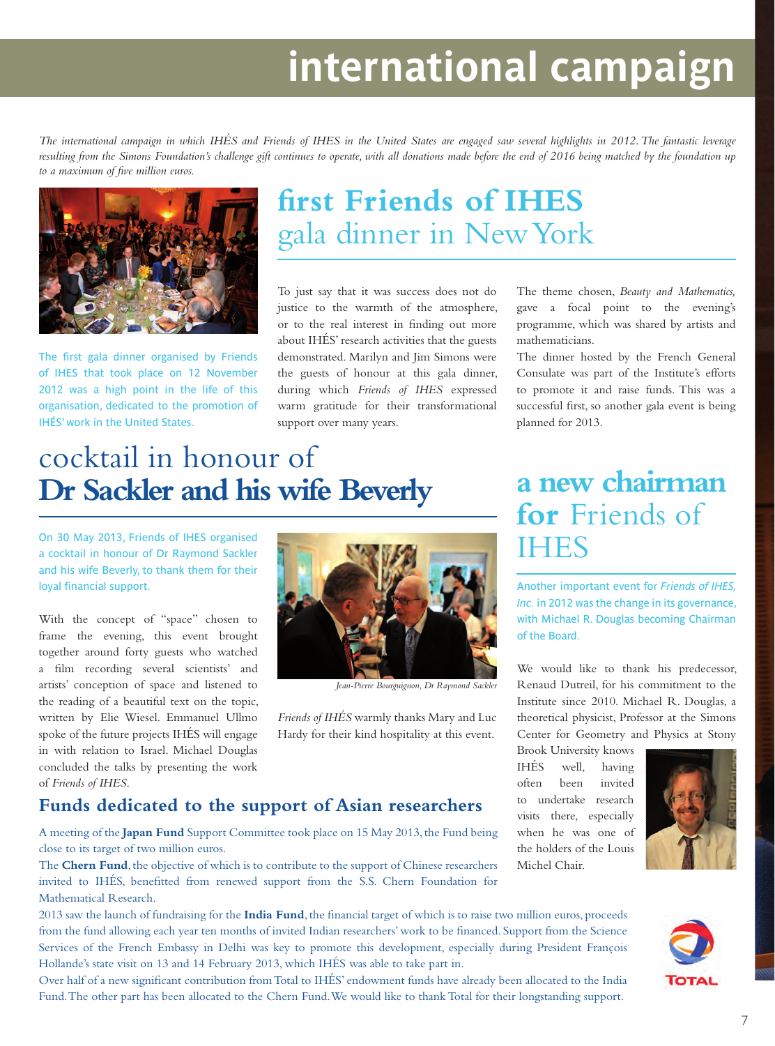# **international campaign**

*The international campaign in which IHÉS and Friends of IHES in the United States are engaged saw several highlights in 2012. The fantastic leverage*  resulting from the Simons Foundation's challenge gift continues to operate, with all donations made before the end of 2016 being matched by the foundation up *to a maximum of five million euros.*



The first gala dinner organised by Friends of IHES that took place on 12 November 2012 was a high point in the life of this organisation, dedicated to the promotion of IHÉS' work in the United States.

## **first Friends of IHES** gala dinner in New York

To just say that it was success does not do justice to the warmth of the atmosphere, or to the real interest in finding out more about IHÉS' research activities that the guests demonstrated. Marilyn and Jim Simons were the guests of honour at this gala dinner, during which *Friends of IHES* expressed warm gratitude for their transformational support over many years.

The theme chosen, *Beauty and Mathematics,* gave a focal point to the evening's programme, which was shared by artists and mathematicians.

The dinner hosted by the French General Consulate was part of the Institute's efforts to promote it and raise funds. This was a successful first, so another gala event is being planned for 2013.

## cocktail in honour of **Dr Sackler and his wife Beverly**

On 30 May 2013, Friends of IHES organised a cocktail in honour of Dr Raymond Sackler and his wife Beverly, to thank them for their loyal financial support.

With the concept of "space" chosen to frame the evening, this event brought together around forty guests who watched a film recording several scientists' and artists' conception of space and listened to the reading of a beautiful text on the topic, written by Elie Wiesel. Emmanuel Ullmo spoke of the future projects IHÉS will engage in with relation to Israel. Michael Douglas concluded the talks by presenting the work of *Friends of IHES*.



*Jean-Pierre Bourguignon, Dr Raymond Sackler*

*Friends of IHÉS* warmly thanks Mary and Luc Hardy for their kind hospitality at this event.

### **Funds dedicated to the support of Asian researchers**

A meeting of the **Japan Fund** Support Committee took place on 15 May 2013, the Fund being close to its target of two million euros.

The **Chern Fund**, the objective of which is to contribute to the support of Chinese researchers invited to IHÉS, benefitted from renewed support from the S.S. Chern Foundation for Mathematical Research.

2013 saw the launch of fundraising for the **India Fund**, the financial target of which is to raise two million euros, proceeds from the fund allowing each year ten months of invited Indian researchers' work to be financed. Support from the Science Services of the French Embassy in Delhi was key to promote this development, especially during President François Hollande's state visit on 13 and 14 February 2013, which IHÉS was able to take part in.

Over half of a new significant contribution from Total to IHÉS' endowment funds have already been allocated to the India Fund. The other part has been allocated to the Chern Fund. We would like to thank Total for their longstanding support.

## **a new chairman for** Friends of **IHES**

Another important event for *Friends of IHES, Inc.* in 2012 was the change in its governance, with Michael R. Douglas becoming Chairman of the Board.

We would like to thank his predecessor, Renaud Dutreil, for his commitment to the Institute since 2010. Michael R. Douglas, a theoretical physicist, Professor at the Simons Center for Geometry and Physics at Stony

Brook University knows IHÉS well, having often been invited to undertake research visits there, especially when he was one of the holders of the Louis Michel Chair.